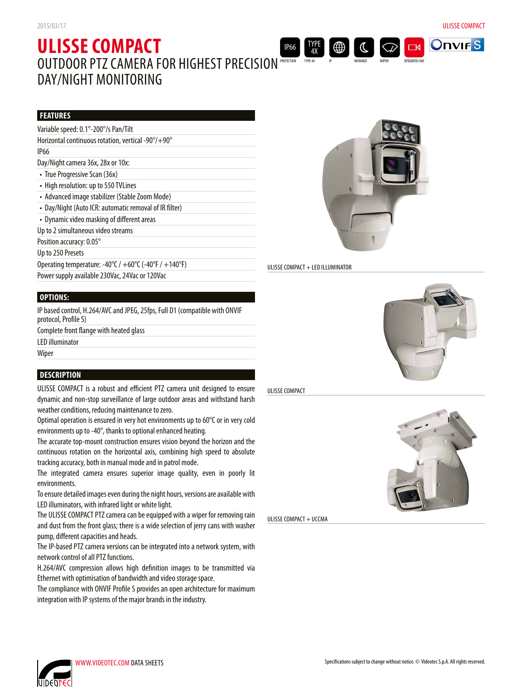**OnvirS** 

**ITEGRATED CAM** 

 $\Box$ 

# **ULISSE COMPACT** OUTDOOR PTZ CAMERA FOR HIGHEST PRECISION DAY/NIGHT MONITORING PROTECTION IP66

### **FEATURES**

# **OPTIONS:**

IP based control, H.264/AVC and JPEG, 25fps, Full D1 (compatible with ONVIF protocol, Profile S)

Complete front flange with heated glass

LED illuminator

Wiper

# **DESCRIPTION**

ULISSE COMPACT is a robust and efficient PTZ camera unit designed to ensure dynamic and non-stop surveillance of large outdoor areas and withstand harsh weather conditions, reducing maintenance to zero.

Optimal operation is ensured in very hot environments up to 60°C or in very cold environments up to -40°, thanks to optional enhanced heating.

The accurate top-mount construction ensures vision beyond the horizon and the continuous rotation on the horizontal axis, combining high speed to absolute tracking accuracy, both in manual mode and in patrol mode.

The integrated camera ensures superior image quality, even in poorly lit environments.

To ensure detailed images even during the night hours, versions are available with LED illuminators, with infrared light or white light.

The ULISSE COMPACT PTZ camera can be equipped with a wiper for removing rain and dust from the front glass; there is a wide selection of jerry cans with washer pump, different capacities and heads.

The IP-based PTZ camera versions can be integrated into a network system, with network control of all PTZ functions.

H.264/AVC compression allows high definition images to be transmitted via Ethernet with optimisation of bandwidth and video storage space.

The compliance with ONVIF Profile S provides an open architecture for maximum integration with IP systems of the major brands in the industry.



### ULISSE COMPACT + LED ILLUMINATOR

TYPE 4X TYPE 4X



ULISSE COMPACT



ULISSE COMPACT + UCCMA

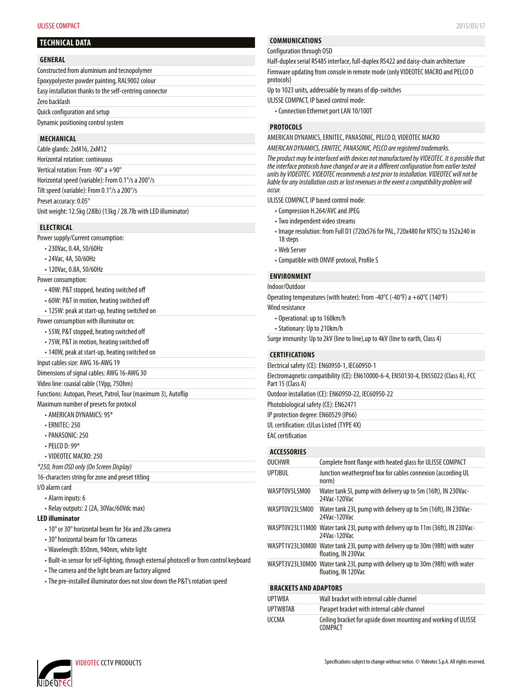#### **ULISSE COMPACT** 2015/03/17

### **TECHNICAL DATA**

#### **GENERAL**

| Constructed from aluminium and tecnopolymer             |  |
|---------------------------------------------------------|--|
| Epoxypolyester powder painting, RAL9002 colour          |  |
| Easy installation thanks to the self-centring connector |  |
| Zero backlash                                           |  |
| Quick configuration and setup                           |  |
| Dynamic positioning control system                      |  |

### **MECHANICAL**

| Cable glands: 2xM16, 2xM12                                      |  |
|-----------------------------------------------------------------|--|
| Horizontal rotation: continuous                                 |  |
| Vertical rotation: From -90 $^{\circ}$ a +90 $^{\circ}$         |  |
| Horizontal speed (variable): From 0.1% a 200%                   |  |
| Tilt speed (variable): From 0.1°/s a 200°/s                     |  |
| Preset accuracy: 0.05°                                          |  |
| Unit weight: 12.5kg (28lb) (13kg / 28.7lb with LED illuminator) |  |

### **ELECTRICAL**

Power supply/Current consumption:

- 230Vac, 0.4A, 50/60Hz
- 24Vac, 4A, 50/60Hz
- 120Vac, 0.8A, 50/60Hz

Power consumption:

- 40W: P&T stopped, heating switched off
- 60W: P&T in motion, heating switched off
- 125W: peak at start-up, heating switched on

Power consumption with illuminator on:

- 55W, P&T stopped, heating switched off
- 75W, P&T in motion, heating switched off
- 140W, peak at start-up, heating switched on

Input cables size: AWG 16-AWG 19

Dimensions of signal cables: AWG 16-AWG 30

Video line: coaxial cable (1Vpp, 75Ohm)

Functions: Autopan, Preset, Patrol, Tour (maximum 3), Autoflip

- Maximum number of presets for protocol
	- AMERICAN DYNAMICS: 95\*
	- ERNITEC: 250
	- PANASONIC: 250
	- PELCO D: 99\*
	- VIDEOTEC MACRO: 250

*\*250, from OSD only (On Screen Display)*

16-characters string for zone and preset titling

- I/O alarm card
	- Alarm inputs: 6
	- Relay outputs: 2 (2A, 30Vac/60Vdc max)

### **LED illuminator**

- 10° or 30° horizontal beam for 36x and 28x camera
- 30° horizontal beam for 10x cameras
- Wavelength: 850nm, 940nm, white light
- Built-in sensor for self-lighting, through external photocell or from control keyboard
- The camera and the light beam are factory aligned
- The pre-installed illuminator does not slow down the P&T's rotation speed

## **COMMUNICATIONS**

#### Configuration through OSD

Half-duplex serial RS485 interface, full-duplex RS422 and daisy-chain architecture Firmware updating from console in remote mode (only VIDEOTEC MACRO and PELCO D protocols)

Up to 1023 units, addressable by means of dip-switches

ULISSE COMPACT, IP based control mode:

• Connection Ethernet port LAN 10/100T

### **PROTOCOLS**

AMERICAN DYNAMICS, ERNITEC, PANASONIC, PELCO D, VIDEOTEC MACRO

*AMERICAN DYNAMICS, ERNITEC, PANASONIC, PELCO are registered trademarks.*

*The product may be interfaced with devices not manufactured by VIDEOTEC. It is possible that the interface protocols have changed or are in a different configuration from earlier tested units by VIDEOTEC. VIDEOTEC recommends a test prior to installation. VIDEOTEC will not be liable for any installation costs or lost revenues in the event a compatibility problem will occur.*

ULISSE COMPACT, IP based control mode:

- Compression H.264/AVC and JPEG
- Two independent video streams
- Image resolution: from Full D1 (720x576 for PAL, 720x480 for NTSC) to 352x240 in 18 steps
- Web Server
- Compatible with ONVIF protocol, Profile S

### **ENVIRONMENT**

Indoor/Outdoor

Operating temperatures (with heater): From -40°C (-40°F) a +60°C (140°F) Wind resistance

• Operational: up to 160km/h

- Stationary: Up to 210km/h
- 

Surge immunity: Up to 2kV (line to line),up to 4kV (line to earth, Class 4)

#### **CERTIFICATIONS**

Electrical safety (CE): EN60950-1, IEC60950-1

| Electromagnetic compatibility (CE): EN610000-6-4, EN50130-4, EN55022 (Class A), FCC<br>Part 15 (Class A) |
|----------------------------------------------------------------------------------------------------------|
| Outdoor installation (CE): EN60950-22, IEC60950-22                                                       |
| Photobiological safety (CE): EN62471                                                                     |
| IP protection degree: EN60529 (IP66)                                                                     |
|                                                                                                          |

UL certification: cULus Listed (TYPE 4X)

### EAC certification

### **ACCESSORIES**

| <b>OUCHWR</b>         | Complete front flange with heated glass for ULISSE COMPACT                                            |
|-----------------------|-------------------------------------------------------------------------------------------------------|
| <b>UPTJBUL</b>        | Junction weatherproof box for cables connexion (according UL<br>norm)                                 |
| WASPTOV5L5M00         | Water tank 5I, pump with delivery up to 5m (16ft), IN 230Vac-<br>24Vac-120Vac                         |
| WASPT0V23L5M00        | Water tank 231, pump with delivery up to 5m (16ft), IN 230Vac-<br>24Vac-120Vac                        |
| WASPT0V23L11M00       | Water tank 231, pump with delivery up to 11m (36ft), IN 230Vac-<br>24Vac-120Vac                       |
| WASPT1V23L30M00       | Water tank 23I, pump with delivery up to 30m (98ft) with water<br>floating, IN 230Vac                 |
|                       | WASPT3V23L30M00 Water tank 23l, pump with delivery up to 30m (98ft) with water<br>floating, IN 120Vac |
| DDACUFTC AND ADADTADC |                                                                                                       |

#### **BRACKETS AND ADAPTORS**

| UPTWBA   | Wall bracket with internal cable channel                                         |
|----------|----------------------------------------------------------------------------------|
| UPTWBTAB | Parapet bracket with internal cable channel                                      |
| UCCMA    | Ceiling bracket for upside down mounting and working of ULISSE<br><b>COMPACT</b> |

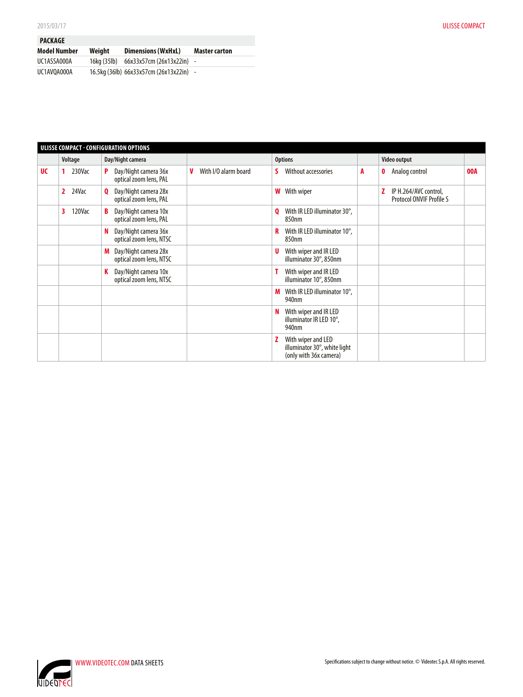| <b>PACKAGE</b> |             |                                         |                      |
|----------------|-------------|-----------------------------------------|----------------------|
| Model Number   | Weiaht      | <b>Dimensions (WxHxL)</b>               | <b>Master carton</b> |
| UC1ASSA000A    | 16kg (35lb) | 66x33x57cm (26x13x22in) -               |                      |
| UC1AV0A000A    |             | 16.5kg (36lb) 66x33x57cm (26x13x22in) - |                      |

| ULISSE COMPACT - CONFIGURATION OPTIONS |             |                                                      |                           |                                                                              |   |                                                               |     |
|----------------------------------------|-------------|------------------------------------------------------|---------------------------|------------------------------------------------------------------------------|---|---------------------------------------------------------------|-----|
|                                        | Voltage     | Day/Night camera                                     |                           | <b>Options</b>                                                               |   | Video output                                                  |     |
| <b>UC</b>                              | 230Vac      | Day/Night camera 36x<br>P<br>optical zoom lens, PAL  | With I/O alarm board<br>V | Without accessories<br>s                                                     | A | Analog control<br>0                                           | 00A |
|                                        | 24Vac<br>2  | Day/Night camera 28x<br>0<br>optical zoom lens, PAL  |                           | W<br>With wiper                                                              |   | IP H.264/AVC control,<br>z<br><b>Protocol ONVIF Profile S</b> |     |
|                                        | 120Vac<br>3 | Day/Night camera 10x<br>optical zoom lens, PAL       |                           | With IR LED illuminator 30°,<br>0<br>850nm                                   |   |                                                               |     |
|                                        |             | Day/Night camera 36x<br>N<br>optical zoom lens, NTSC |                           | With IR LED illuminator 10°,<br>R<br>850nm                                   |   |                                                               |     |
|                                        |             | Day/Night camera 28x<br>M<br>optical zoom lens, NTSC |                           | With wiper and IR LED<br>U<br>illuminator 30°, 850nm                         |   |                                                               |     |
|                                        |             | Day/Night camera 10x<br>K<br>optical zoom lens, NTSC |                           | With wiper and IR LED<br>illuminator 10°, 850nm                              |   |                                                               |     |
|                                        |             |                                                      |                           | With IR LED illuminator 10°,<br>M<br>940nm                                   |   |                                                               |     |
|                                        |             |                                                      |                           | With wiper and IR LED<br>N<br>illuminator IR LED 10°,<br>940nm               |   |                                                               |     |
|                                        |             |                                                      |                           | With wiper and LED<br>illuminator 30°, white light<br>(only with 36x camera) |   |                                                               |     |

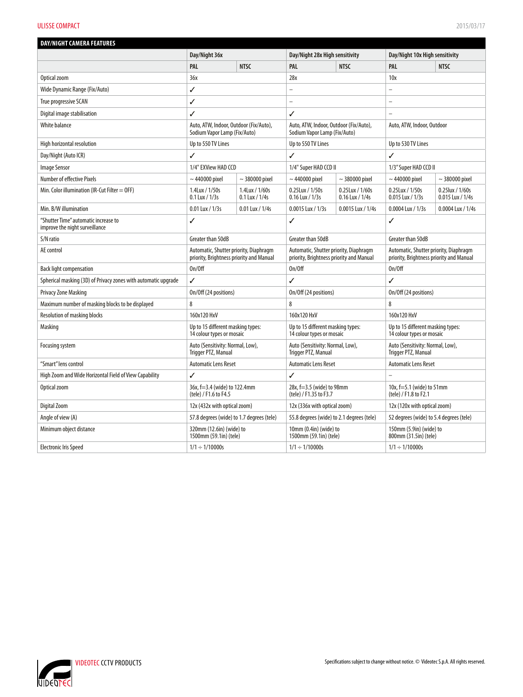#### **ULISSE COMPACT** 2015/03/17

| <b>DAY/NIGHT CAMERA FEATURES</b>                                       |                                                                                    |                                  |                                                                                    |                                         |                                                                                    |                                      |
|------------------------------------------------------------------------|------------------------------------------------------------------------------------|----------------------------------|------------------------------------------------------------------------------------|-----------------------------------------|------------------------------------------------------------------------------------|--------------------------------------|
|                                                                        | Day/Night 36x                                                                      |                                  | Day/Night 28x High sensitivity                                                     |                                         | Day/Night 10x High sensitivity                                                     |                                      |
|                                                                        | PAL                                                                                | <b>NTSC</b>                      | <b>PAL</b>                                                                         | <b>NTSC</b>                             | PAL                                                                                | <b>NTSC</b>                          |
| Optical zoom                                                           | 36x                                                                                |                                  | 28x                                                                                |                                         | 10x                                                                                |                                      |
| Wide Dynamic Range (Fix/Auto)                                          | ✓                                                                                  |                                  | $\overline{a}$                                                                     |                                         |                                                                                    |                                      |
| True progressive SCAN                                                  | ✓                                                                                  |                                  | $\overline{\phantom{0}}$                                                           |                                         |                                                                                    |                                      |
| Digital image stabilisation                                            | ✓                                                                                  |                                  | ✓                                                                                  |                                         |                                                                                    |                                      |
| White balance                                                          | Auto, ATW, Indoor, Outdoor (Fix/Auto),<br>Sodium Vapor Lamp (Fix/Auto)             |                                  | Auto, ATW, Indoor, Outdoor (Fix/Auto),<br>Sodium Vapor Lamp (Fix/Auto)             |                                         | Auto, ATW, Indoor, Outdoor                                                         |                                      |
| High horizontal resolution                                             | Up to 550 TV Lines                                                                 |                                  | Up to 550 TV Lines                                                                 |                                         | Up to 530 TV Lines                                                                 |                                      |
| Day/Night (Auto ICR)                                                   | ✓                                                                                  |                                  | ✓                                                                                  |                                         | ✓                                                                                  |                                      |
| <b>Image Sensor</b>                                                    | 1/4" EXView HAD CCD                                                                |                                  | 1/4" Super HAD CCD II                                                              |                                         | 1/3" Super HAD CCD II                                                              |                                      |
| Number of effective Pixels                                             | $\sim$ 440000 pixel                                                                | $\sim$ 380000 pixel              | $\sim$ 440000 pixel                                                                | $\sim$ 380000 pixel                     | $\sim$ 440000 pixel                                                                | $\sim$ 380000 pixel                  |
| Min. Color illumination (IR-Cut Filter $=$ OFF)                        | 1.4Lux / 1/50s<br>$0.1$ Lux / $1/3s$                                               | 1.4Lux / 1/60s<br>0.1 Lux / 1/4s | $0.25$ Lux / $1/50s$<br>$0.16$ Lux / $1/3s$                                        | $0.25$ Lux / $1/60s$<br>0.16 Lux / 1/4s | 0.25 Lux / 1/50s<br>0.015 Lux / 1/3s                                               | 0.25 lux / 1/60s<br>0.015 Lux / 1/4s |
| Min. B/W illumination                                                  | $0.01$ Lux / $1/3s$                                                                | $0.01$ Lux / $1/4s$              | 0.0015 Lux / 1/3s                                                                  | 0.0015 Lux / 1/4s                       | 0.0004 Lux / 1/3s                                                                  | 0.0004 Lux / 1/4s                    |
| "Shutter Time" automatic increase to<br>improve the night surveillance | ✓                                                                                  |                                  | ✓                                                                                  |                                         | ✓                                                                                  |                                      |
| S/N ratio                                                              | Greater than 50dB                                                                  |                                  | Greater than 50dB                                                                  |                                         | Greater than 50dB                                                                  |                                      |
| AE control                                                             | Automatic, Shutter priority, Diaphragm<br>priority, Brightness priority and Manual |                                  | Automatic, Shutter priority, Diaphragm<br>priority, Brightness priority and Manual |                                         | Automatic, Shutter priority, Diaphragm<br>priority, Brightness priority and Manual |                                      |
| <b>Back light compensation</b>                                         | On/Off                                                                             |                                  | On/Off                                                                             |                                         | On/Off                                                                             |                                      |
| Spherical masking (3D) of Privacy zones with automatic upgrade         | ✓                                                                                  |                                  | ✓                                                                                  |                                         | ✓                                                                                  |                                      |
| Privacy Zone Masking                                                   | On/Off (24 positions)                                                              |                                  | On/Off (24 positions)                                                              |                                         | On/Off (24 positions)                                                              |                                      |
| Maximum number of masking blocks to be displayed                       | 8                                                                                  |                                  | 8                                                                                  |                                         | 8                                                                                  |                                      |
| Resolution of masking blocks                                           | 160x120 HxV                                                                        |                                  | 160x120 HxV                                                                        |                                         | 160x120 HxV                                                                        |                                      |
| Masking                                                                | Up to 15 different masking types:<br>14 colour types or mosaic                     |                                  | Up to 15 different masking types:<br>14 colour types or mosaic                     |                                         | Up to 15 different masking types:<br>14 colour types or mosaic                     |                                      |
| Focusing system                                                        | Auto (Sensitivity: Normal, Low),<br>Trigger PTZ, Manual                            |                                  | Auto (Sensitivity: Normal, Low),<br>Trigger PTZ, Manual                            |                                         | Auto (Sensitivity: Normal, Low),<br>Trigger PTZ, Manual                            |                                      |
| "Smart" lens control                                                   | <b>Automatic Lens Reset</b>                                                        |                                  | <b>Automatic Lens Reset</b>                                                        |                                         | <b>Automatic Lens Reset</b>                                                        |                                      |
| High Zoom and Wide Horizontal Field of View Capability                 | ✓                                                                                  |                                  | ✓                                                                                  |                                         |                                                                                    |                                      |
| Optical zoom                                                           | 36x, f=3.4 (wide) to 122.4mm<br>(tele) / F1.6 to F4.5                              |                                  | 28x, f=3.5 (wide) to 98mm<br>(tele) / F1.35 to F3.7                                |                                         | 10x, f=5.1 (wide) to 51mm<br>(tele) / F1.8 to F2.1                                 |                                      |
| Digital Zoom                                                           | 12x (432x with optical zoom)                                                       |                                  | 12x (336x with optical zoom)                                                       |                                         | 12x (120x with optical zoom)                                                       |                                      |
| Angle of view (A)                                                      | 57.8 degrees (wide) to 1.7 degrees (tele)                                          |                                  | 55.8 degrees (wide) to 2.1 degrees (tele)                                          |                                         | 52 degrees (wide) to 5.4 degrees (tele)                                            |                                      |
| Minimum object distance                                                | 320mm (12.6in) (wide) to<br>1500mm (59.1in) (tele)                                 |                                  | $10mm(0.4in)$ (wide) to<br>1500mm (59.1in) (tele)                                  |                                         | 150mm (5.9in) (wide) to<br>800mm (31.5in) (tele)                                   |                                      |
| Electronic Iris Speed                                                  | $1/1 \div 1/10000s$                                                                |                                  | $1/1 \div 1/10000s$                                                                |                                         | $1/1 \div 1/10000s$                                                                |                                      |

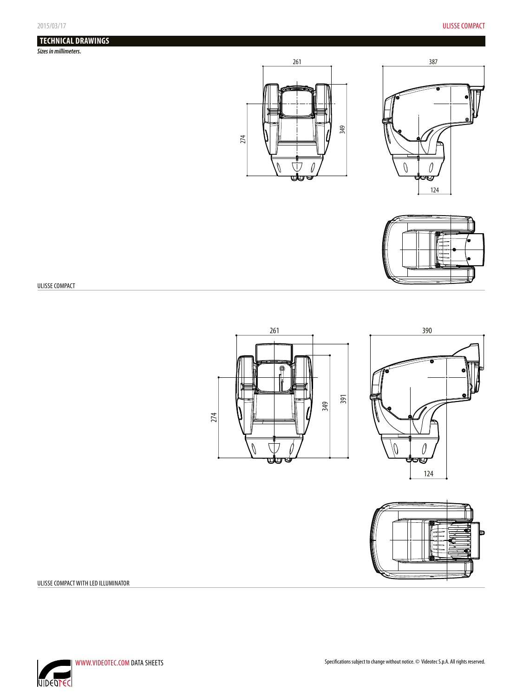# **TECHNICAL DRAWINGS**

*Sizes in millimeters.*







ULISSE COMPACT







ULISSE COMPACT WITH LED ILLUMINATOR